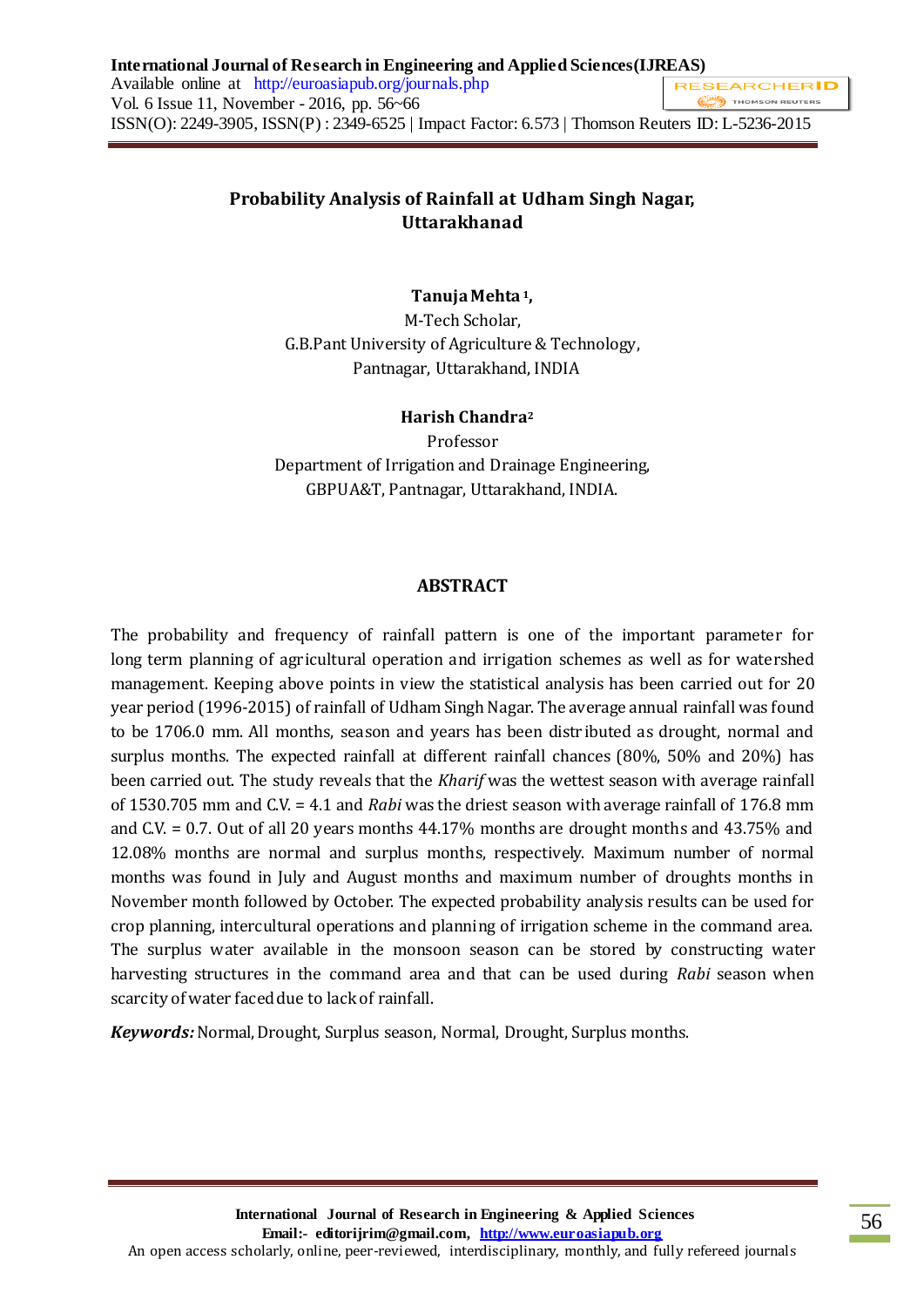# **Probability Analysis of Rainfall at Udham Singh Nagar, Uttarakhanad**

# **Tanuja Mehta <sup>1</sup>,**

M-Tech Scholar, G.B.Pant University of Agriculture & Technology, Pantnagar, Uttarakhand, INDIA

# **Harish Chandra<sup>2</sup>**

Professor Department of Irrigation and Drainage Engineering, GBPUA&T, Pantnagar, Uttarakhand, INDIA.

### **ABSTRACT**

The probability and frequency of rainfall pattern is one of the important parameter for long term planning of agricultural operation and irrigation schemes as well as for watershed management. Keeping above points in view the statistical analysis has been carried out for 20 year period (1996-2015) of rainfall of Udham Singh Nagar. The average annual rainfall was found to be 1706.0 mm. All months, season and years has been distr ibuted as drought, normal and surplus months. The expected rainfall at different rainfall chances (80%, 50% and 20%) has been carried out. The study reveals that the *Kharif* was the wettest season with average rainfall of 1530.705 mm and C.V. = 4.1 and *Rabi* was the driest season with average rainfall of 176.8 mm and C.V. = 0.7. Out of all 20 years months 44.17% months are drought months and 43.75% and 12.08% months are normal and surplus months, respectively. Maximum number of normal months was found in July and August months and maximum number of droughts months in November month followed by October. The expected probability analysis results can be used for crop planning, intercultural operations and planning of irrigation scheme in the command area. The surplus water available in the monsoon season can be stored by constructing water harvesting structures in the command area and that can be used during *Rabi* season when scarcity of water faced due to lack of rainfall.

*Keywords:* Normal, Drought, Surplus season, Normal, Drought, Surplus months.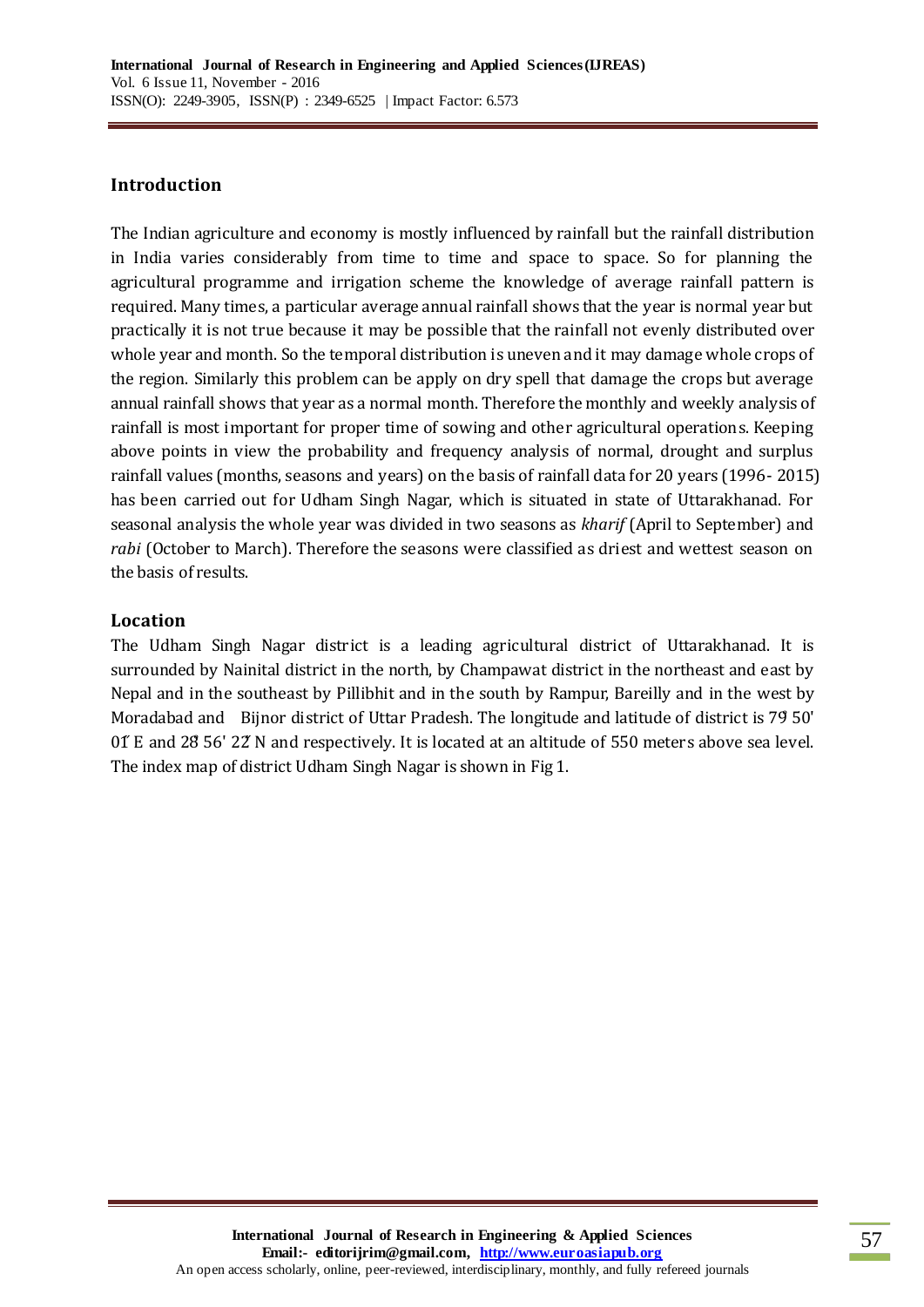## **Introduction**

The Indian agriculture and economy is mostly influenced by rainfall but the rainfall distribution in India varies considerably from time to time and space to space. So for planning the agricultural programme and irrigation scheme the knowledge of average rainfall pattern is required. Many times, a particular average annual rainfall shows that the year is normal year but practically it is not true because it may be possible that the rainfall not evenly distributed over whole year and month. So the temporal distribution is uneven and it may damage whole crops of the region. Similarly this problem can be apply on dry spell that damage the crops but average annual rainfall shows that year as a normal month. Therefore the monthly and weekly analysis of rainfall is most important for proper time of sowing and other agricultural operations. Keeping above points in view the probability and frequency analysis of normal, drought and surplus rainfall values (months, seasons and years) on the basis of rainfall data for 20 years (1996- 2015) has been carried out for Udham Singh Nagar, which is situated in state of Uttarakhanad. For seasonal analysis the whole year was divided in two seasons as *kharif* (April to September) and *rabi* (October to March). Therefore the seasons were classified as driest and wettest season on the basis of results.

# **Location**

The Udham Singh Nagar district is a leading agricultural district of Uttarakhanad. It is surrounded by Nainital district in the north, by Champawat district in the northeast and east by Nepal and in the southeast by Pillibhit and in the south by Rampur, Bareilly and in the west by Moradabad and Bijnor district of Uttar Pradesh. The longitude and latitude of district is 79̊ 50' 01 $^{\circ}$  E and 28 56' 22 N and respectively. It is located at an altitude of 550 meters above sea level. The index map of district Udham Singh Nagar is shown in Fig 1.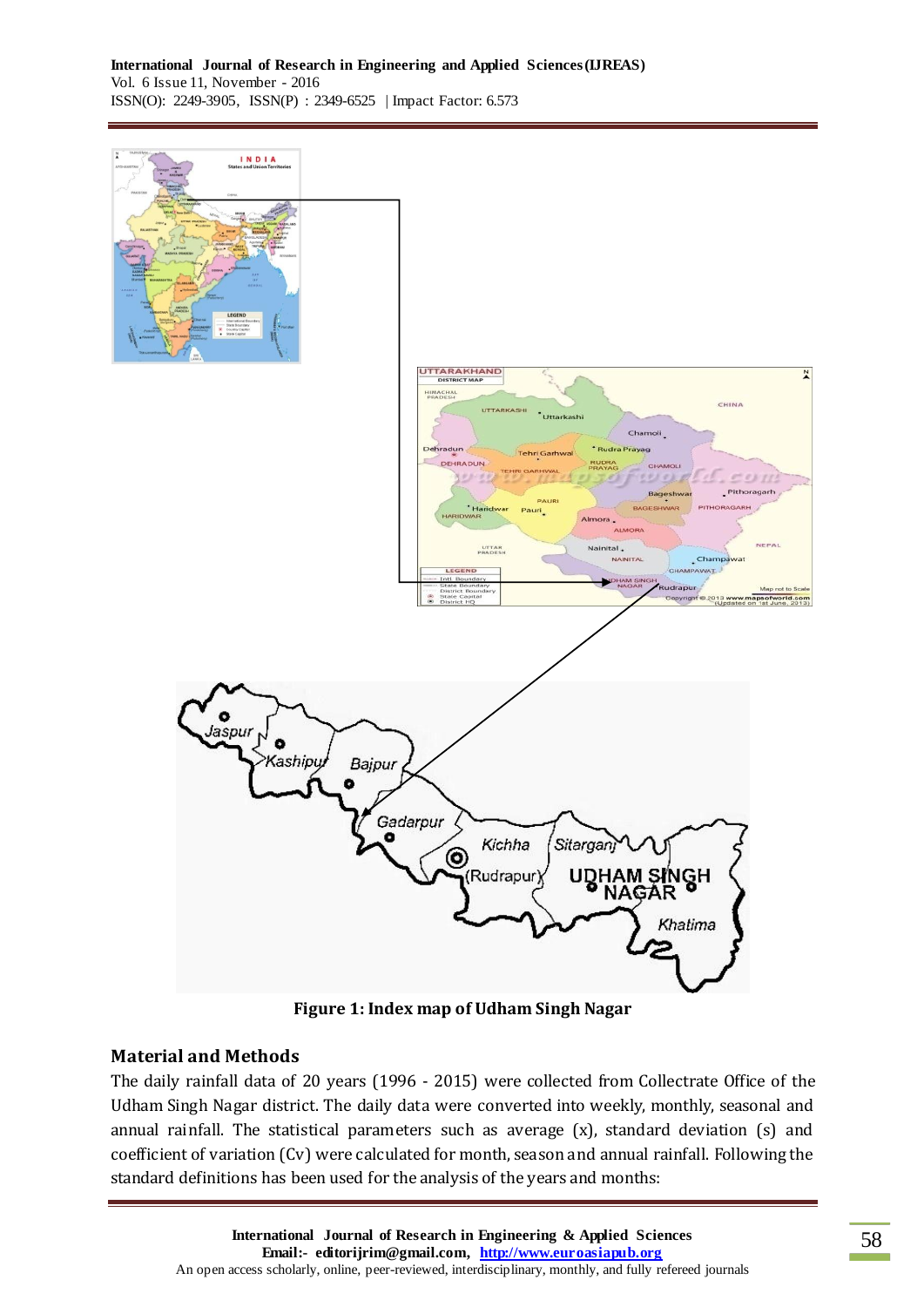

# **Material and Methods**

The daily rainfall data of 20 years (1996 - 2015) were collected from Collectrate Office of the Udham Singh Nagar district. The daily data were converted into weekly, monthly, seasonal and annual rainfall. The statistical parameters such as average (x), standard deviation (s) and coefficient of variation (Cv) were calculated for month, season and annual rainfall. Following the standard definitions has been used for the analysis of the years and months: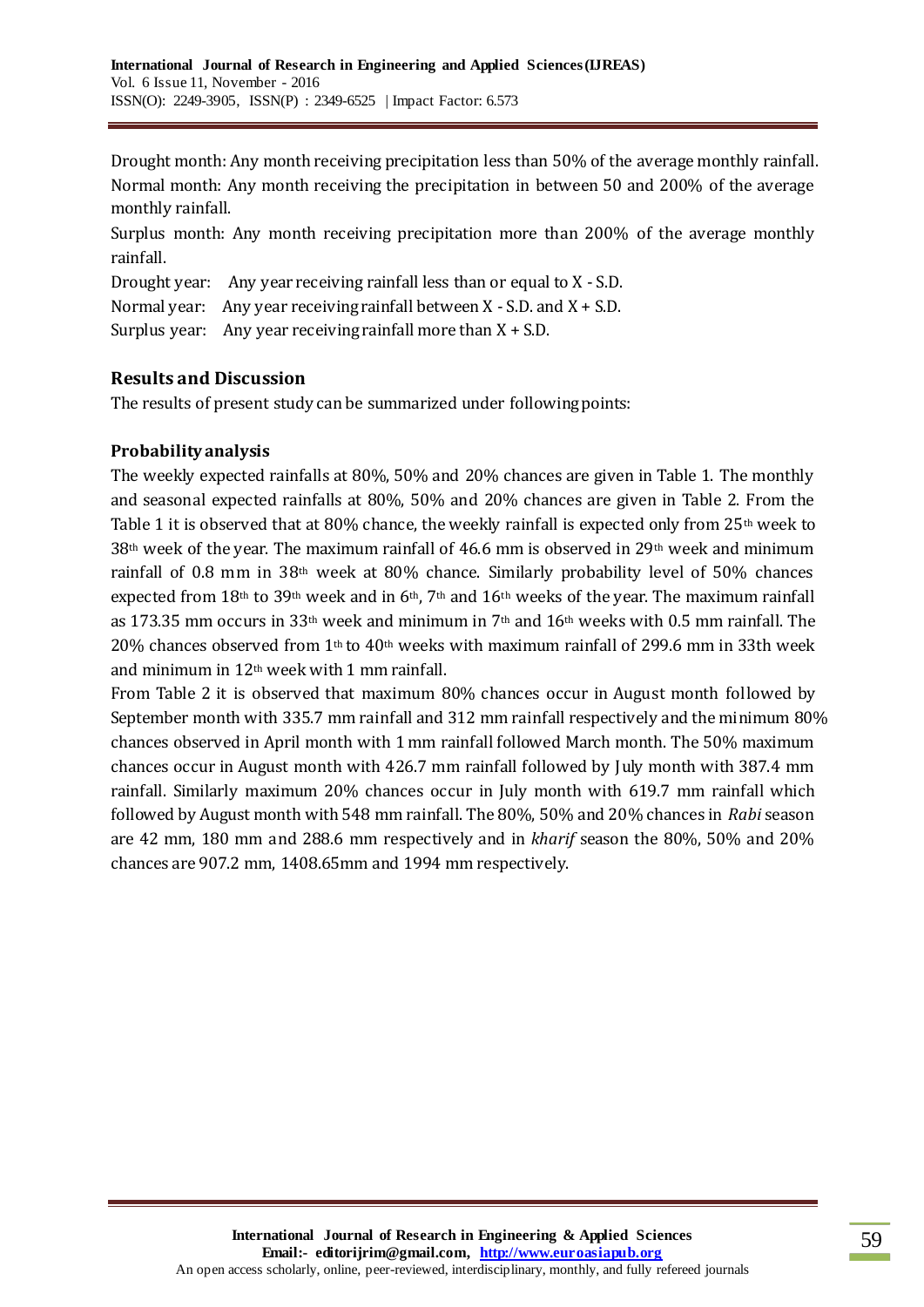Drought month: Any month receiving precipitation less than 50% of the average monthly rainfall. Normal month: Any month receiving the precipitation in between 50 and 200% of the average monthly rainfall.

Surplus month: Any month receiving precipitation more than 200% of the average monthly rainfall.

Drought year: Any year receiving rainfall less than or equal to X - S.D.

Normal year: Any year receiving rainfall between  $X - S.D$ . and  $X + S.D$ .

Surplus year: Any year receiving rainfall more than  $X + S.D.$ 

# **Results and Discussion**

The results of present study can be summarized under following points:

# **Probability analysis**

The weekly expected rainfalls at 80%, 50% and 20% chances are given in Table 1. The monthly and seasonal expected rainfalls at 80%, 50% and 20% chances are given in Table 2. From the Table 1 it is observed that at 80% chance, the weekly rainfall is expected only from  $25<sup>th</sup>$  week to 38th week of the year. The maximum rainfall of 46.6 mm is observed in 29th week and minimum rainfall of 0.8 mm in 38th week at 80% chance. Similarly probability level of 50% chances expected from 18<sup>th</sup> to 39<sup>th</sup> week and in 6<sup>th</sup>, 7<sup>th</sup> and 16<sup>th</sup> weeks of the year. The maximum rainfall as 173.35 mm occurs in 33<sup>th</sup> week and minimum in 7<sup>th</sup> and 16<sup>th</sup> weeks with 0.5 mm rainfall. The 20% chances observed from 1<sup>th</sup> to 40<sup>th</sup> weeks with maximum rainfall of 299.6 mm in 33th week and minimum in 12th week with 1 mm rainfall.

From Table 2 it is observed that maximum 80% chances occur in August month followed by September month with 335.7 mm rainfall and 312 mm rainfall respectively and the minimum 80% chances observed in April month with 1 mm rainfall followed March month. The 50% maximum chances occur in August month with 426.7 mm rainfall followed by July month with 387.4 mm rainfall. Similarly maximum 20% chances occur in July month with 619.7 mm rainfall which followed by August month with 548 mm rainfall. The 80%, 50% and 20% chances in *Rabi* season are 42 mm, 180 mm and 288.6 mm respectively and in *kharif* season the 80%, 50% and 20% chances are 907.2 mm, 1408.65mm and 1994 mm respectively.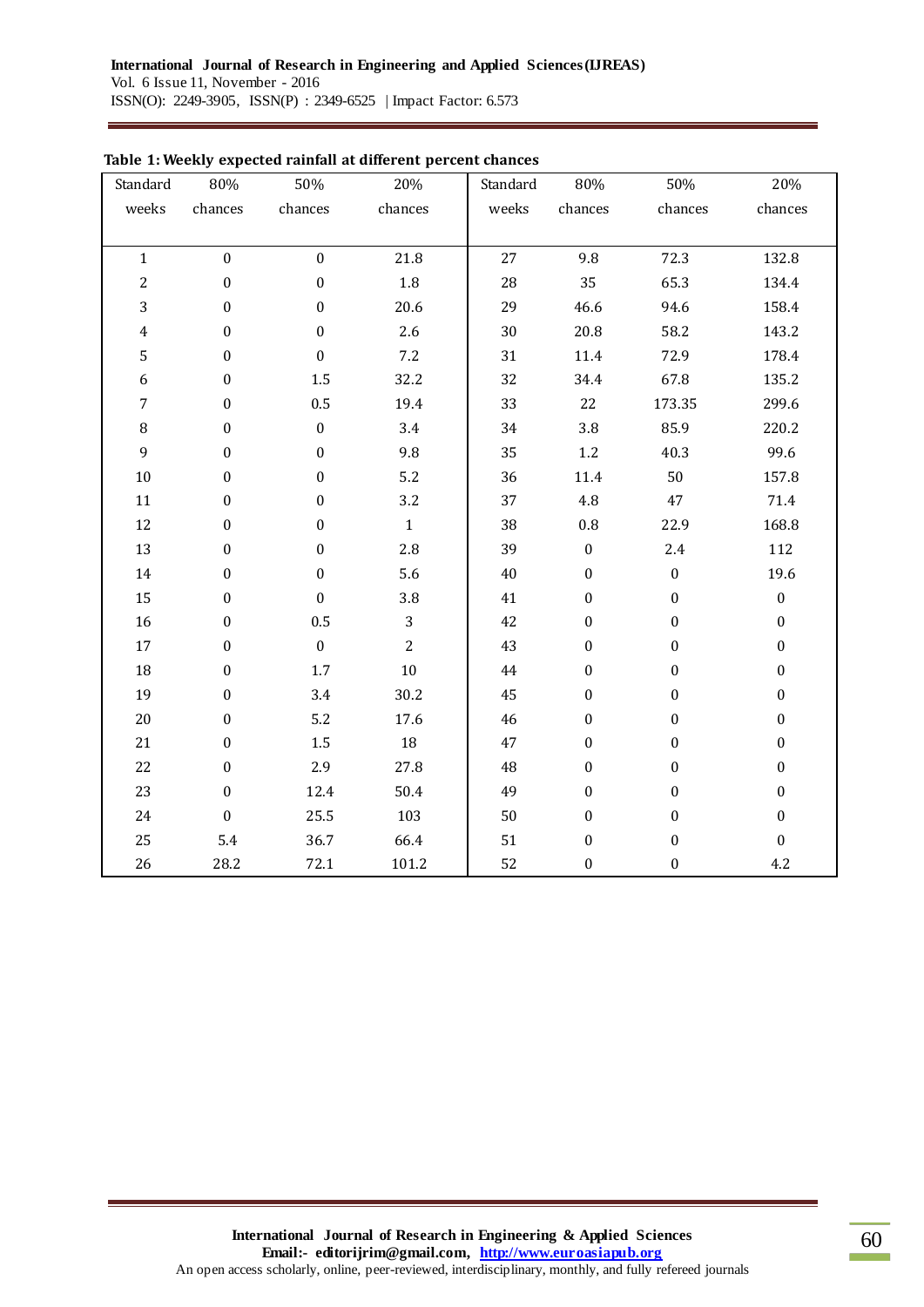| Standard                | 80%              | 50%              | 20%            | Standard | 80%              | 50%              | 20%              |
|-------------------------|------------------|------------------|----------------|----------|------------------|------------------|------------------|
| weeks                   | chances          | chances          | chances        | weeks    | chances          | chances          | chances          |
|                         |                  |                  |                |          |                  |                  |                  |
| $\mathbf{1}$            | $\boldsymbol{0}$ | $\boldsymbol{0}$ | 21.8           | 27       | 9.8              | 72.3             | 132.8            |
| $\mathbf{2}$            | $\boldsymbol{0}$ | $\boldsymbol{0}$ | $1.8\,$        | 28       | 35               | 65.3             | 134.4            |
| 3                       | $\boldsymbol{0}$ | $\boldsymbol{0}$ | 20.6           | 29       | 46.6             | 94.6             | 158.4            |
| $\overline{\mathbf{4}}$ | $\boldsymbol{0}$ | $\boldsymbol{0}$ | 2.6            | 30       | 20.8             | 58.2             | 143.2            |
| 5                       | $\boldsymbol{0}$ | $\boldsymbol{0}$ | 7.2            | 31       | $11.4\,$         | 72.9             | 178.4            |
| 6                       | $\boldsymbol{0}$ | 1.5              | 32.2           | 32       | 34.4             | 67.8             | 135.2            |
| $\overline{7}$          | $\boldsymbol{0}$ | 0.5              | 19.4           | 33       | 22               | 173.35           | 299.6            |
| $\, 8$                  | 0                | $\boldsymbol{0}$ | 3.4            | 34       | 3.8              | 85.9             | 220.2            |
| $\boldsymbol{9}$        | $\boldsymbol{0}$ | $\boldsymbol{0}$ | 9.8            | 35       | $1.2\,$          | 40.3             | 99.6             |
| $10\,$                  | $\boldsymbol{0}$ | $\boldsymbol{0}$ | 5.2            | 36       | 11.4             | 50               | 157.8            |
| 11                      | 0                | $\boldsymbol{0}$ | 3.2            | 37       | $4.8\,$          | 47               | 71.4             |
| 12                      | 0                | $\boldsymbol{0}$ | $\mathbf{1}$   | 38       | $\rm 0.8$        | 22.9             | 168.8            |
| 13                      | $\boldsymbol{0}$ | $\boldsymbol{0}$ | 2.8            | 39       | $\boldsymbol{0}$ | 2.4              | 112              |
| 14                      | $\boldsymbol{0}$ | $\boldsymbol{0}$ | 5.6            | $40\,$   | $\boldsymbol{0}$ | $\boldsymbol{0}$ | 19.6             |
| 15                      | 0                | $\boldsymbol{0}$ | 3.8            | 41       | $\boldsymbol{0}$ | $\boldsymbol{0}$ | $\boldsymbol{0}$ |
| 16                      | $\boldsymbol{0}$ | 0.5              | $\overline{3}$ | 42       | $\boldsymbol{0}$ | $\boldsymbol{0}$ | $\boldsymbol{0}$ |
| $17\,$                  | $\boldsymbol{0}$ | $\boldsymbol{0}$ | $\overline{2}$ | 43       | $\boldsymbol{0}$ | $\boldsymbol{0}$ | $\boldsymbol{0}$ |
| $18\,$                  | $\boldsymbol{0}$ | $1.7\,$          | $10\,$         | 44       | $\boldsymbol{0}$ | $\boldsymbol{0}$ | $\boldsymbol{0}$ |
| 19                      | 0                | 3.4              | 30.2           | 45       | $\boldsymbol{0}$ | $\boldsymbol{0}$ | $\boldsymbol{0}$ |
| $20\,$                  | $\boldsymbol{0}$ | 5.2              | 17.6           | 46       | $\boldsymbol{0}$ | $\boldsymbol{0}$ | $\boldsymbol{0}$ |
| 21                      | $\boldsymbol{0}$ | $1.5\,$          | $18\,$         | 47       | $\boldsymbol{0}$ | $\boldsymbol{0}$ | $\boldsymbol{0}$ |
| 22                      | $\boldsymbol{0}$ | 2.9              | 27.8           | 48       | $\boldsymbol{0}$ | $\boldsymbol{0}$ | $\boldsymbol{0}$ |
| 23                      | $\boldsymbol{0}$ | 12.4             | 50.4           | 49       | $\boldsymbol{0}$ | $\boldsymbol{0}$ | $\boldsymbol{0}$ |
| 24                      | $\boldsymbol{0}$ | 25.5             | 103            | 50       | $\boldsymbol{0}$ | $\boldsymbol{0}$ | $\boldsymbol{0}$ |
| 25                      | 5.4              | 36.7             | 66.4           | 51       | $\boldsymbol{0}$ | $\boldsymbol{0}$ | $\boldsymbol{0}$ |
| 26                      | 28.2             | 72.1             | 101.2          | 52       | $\boldsymbol{0}$ | $\boldsymbol{0}$ | 4.2              |

### **Table 1: Weekly expected rainfall at different percent chances**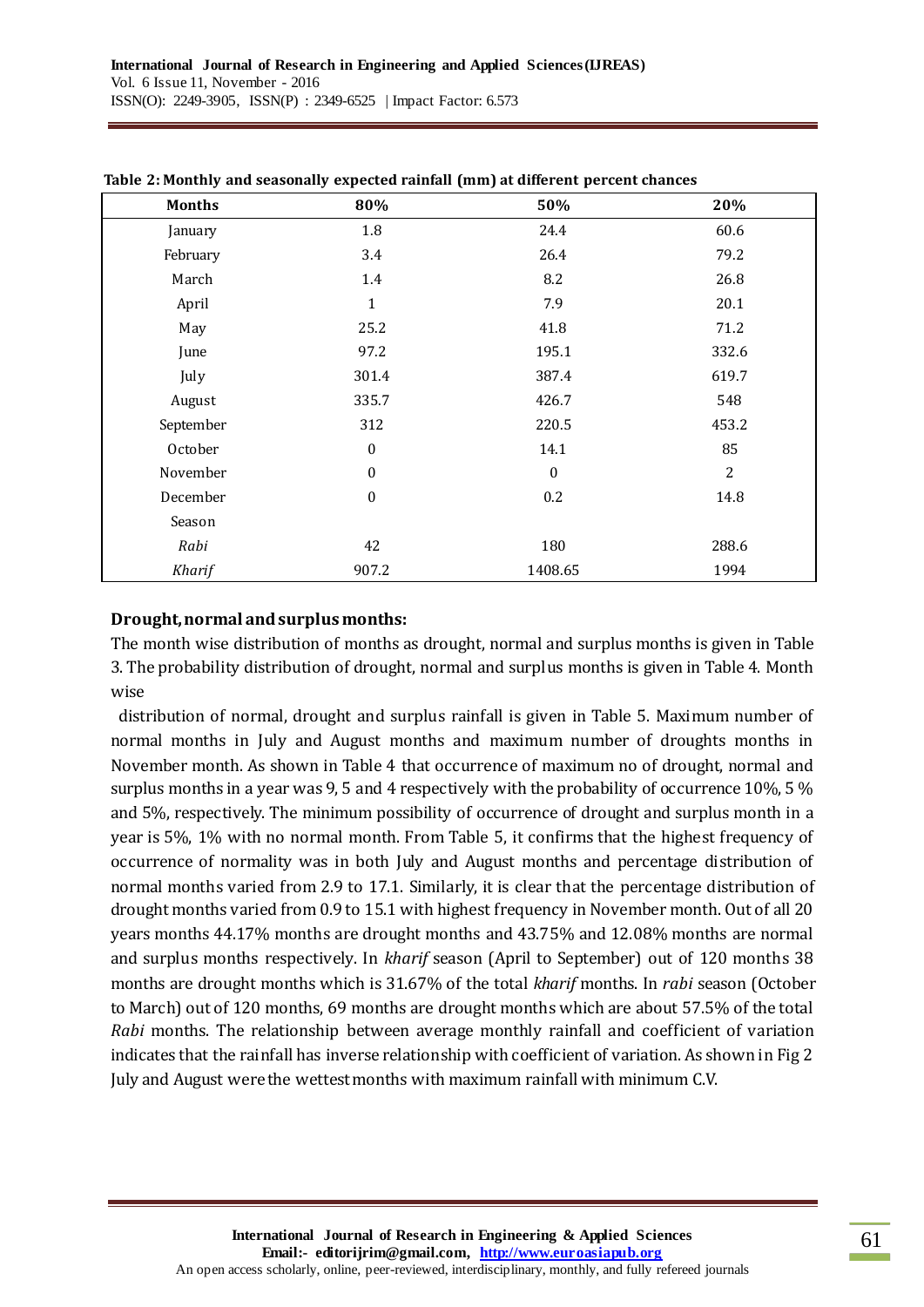| <b>Months</b> | 80%              | 50%              | 20%        |
|---------------|------------------|------------------|------------|
| January       | 1.8              | 24.4             | 60.6       |
| February      | 3.4              | 26.4             | 79.2       |
| March         | 1.4              | 8.2              | 26.8       |
| April         | $\mathbf{1}$     | 7.9              | 20.1       |
| May           | 25.2             | 41.8             | 71.2       |
| June          | 97.2             | 195.1            | 332.6      |
| July          | 301.4            | 387.4            | 619.7      |
| August        | 335.7            | 426.7            | 548        |
| September     | 312              | 220.5            | 453.2      |
| October       | $\boldsymbol{0}$ | 14.1             | 85         |
| November      | $\boldsymbol{0}$ | $\boldsymbol{0}$ | $\sqrt{2}$ |
| December      | $\boldsymbol{0}$ | 0.2              | 14.8       |
| Season        |                  |                  |            |
| Rabi          | 42               | 180              | 288.6      |
| Kharif        | 907.2            | 1408.65          | 1994       |

#### **Table 2: Monthly and seasonally expected rainfall (mm) at different percent chances**

### **Drought, normal and surplus months:**

The month wise distribution of months as drought, normal and surplus months is given in Table 3. The probability distribution of drought, normal and surplus months is given in Table 4. Month wise

distribution of normal, drought and surplus rainfall is given in Table 5. Maximum number of normal months in July and August months and maximum number of droughts months in November month. As shown in Table 4 that occurrence of maximum no of drought, normal and surplus months in a year was 9, 5 and 4 respectively with the probability of occurrence 10%, 5 % and 5%, respectively. The minimum possibility of occurrence of drought and surplus month in a year is 5%, 1% with no normal month. From Table 5, it confirms that the highest frequency of occurrence of normality was in both July and August months and percentage distribution of normal months varied from 2.9 to 17.1. Similarly, it is clear that the percentage distribution of drought months varied from 0.9 to 15.1 with highest frequency in November month. Out of all 20 years months 44.17% months are drought months and 43.75% and 12.08% months are normal and surplus months respectively. In *kharif* season (April to September) out of 120 months 38 months are drought months which is 31.67% of the total *kharif* months. In *rabi* season (October to March) out of 120 months, 69 months are drought months which are about 57.5% of the total *Rabi* months. The relationship between average monthly rainfall and coefficient of variation indicates that the rainfall has inverse relationship with coefficient of variation. As shown in Fig 2 July and August were the wettest months with maximum rainfall with minimum C.V.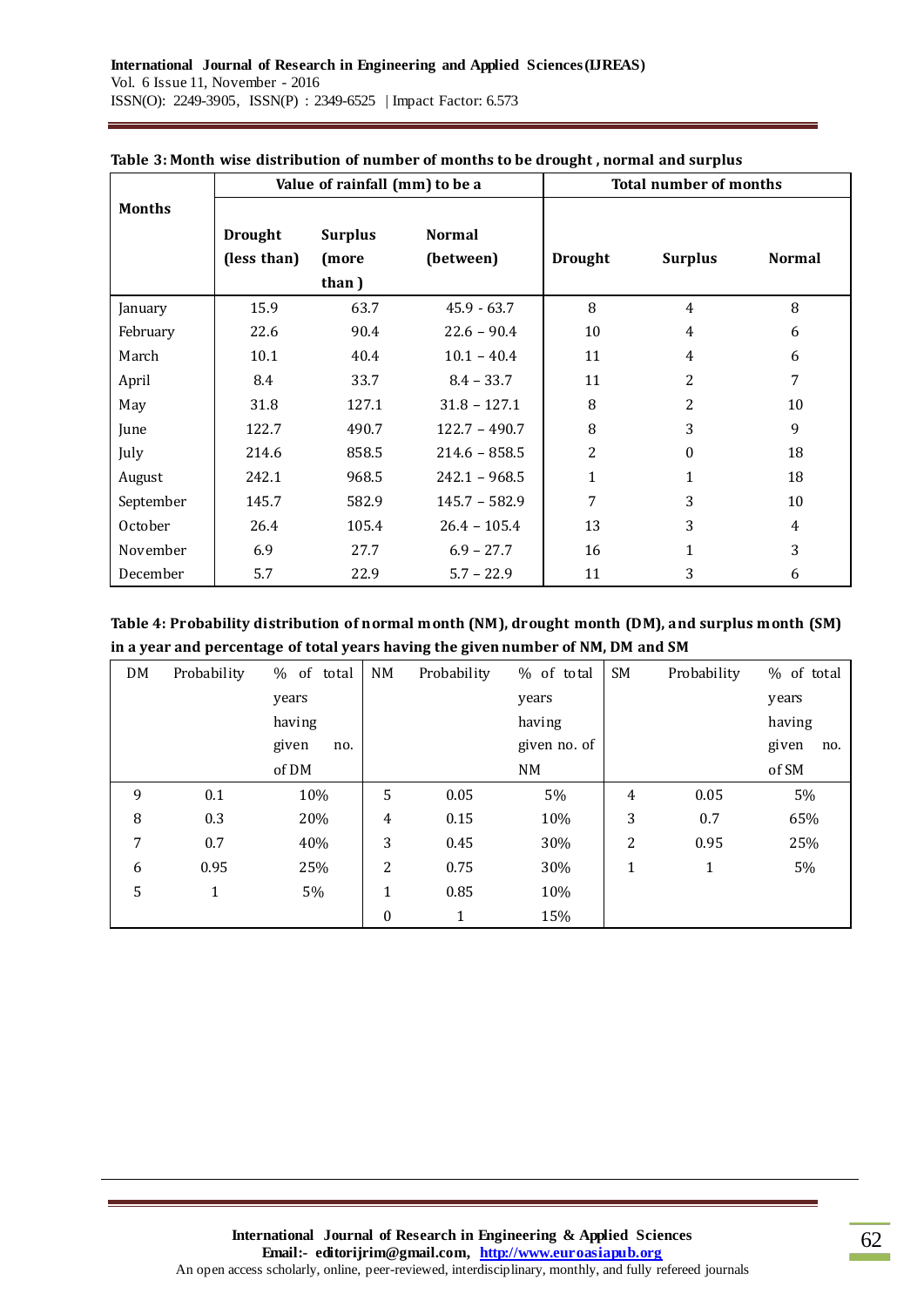|               | Value of rainfall (mm) to be a |                |                 | <b>Total number of months</b> |                  |                |  |
|---------------|--------------------------------|----------------|-----------------|-------------------------------|------------------|----------------|--|
| <b>Months</b> |                                |                |                 |                               |                  |                |  |
|               | <b>Drought</b>                 | <b>Surplus</b> | <b>Normal</b>   |                               |                  |                |  |
|               | (less than)                    | (more          | (between)       | <b>Drought</b>                | <b>Surplus</b>   | <b>Normal</b>  |  |
|               |                                | than)          |                 |                               |                  |                |  |
| January       | 15.9                           | 63.7           | $45.9 - 63.7$   | 8                             | $\overline{4}$   | 8              |  |
| February      | 22.6                           | 90.4           | $22.6 - 90.4$   | 10                            | 4                | 6              |  |
| March         | 10.1                           | 40.4           | $10.1 - 40.4$   | 11                            | 4                | 6              |  |
| April         | 8.4                            | 33.7           | $8.4 - 33.7$    | 11                            | 2                | 7              |  |
| May           | 31.8                           | 127.1          | $31.8 - 127.1$  | 8                             | 2                | 10             |  |
| June          | 122.7                          | 490.7          | $122.7 - 490.7$ | 8                             | 3                | 9              |  |
| July          | 214.6                          | 858.5          | $214.6 - 858.5$ | 2                             | $\boldsymbol{0}$ | 18             |  |
| August        | 242.1                          | 968.5          | $242.1 - 968.5$ | $\mathbf{1}$                  | 1                | 18             |  |
| September     | 145.7                          | 582.9          | $145.7 - 582.9$ | 7                             | 3                | 10             |  |
| October       | 26.4                           | 105.4          | $26.4 - 105.4$  | 13                            | 3                | $\overline{4}$ |  |
| November      | 6.9                            | 27.7           | $6.9 - 27.7$    | 16                            | $\mathbf{1}$     | 3              |  |
| December      | 5.7                            | 22.9           | $5.7 - 22.9$    | 11                            | 3                | 6              |  |

#### **Table 3: Month wise distribution of number of months to be drought , normal and surplus**

**Table 4: Probability distribution of normal month (NM), drought month (DM), and surplus month (SM) in a year and percentage of total years having the given number of NM, DM and SM**

| DM | Probability  | of total<br>% | NM             | Probability | % of total   | SM             | Probability | % of total   |
|----|--------------|---------------|----------------|-------------|--------------|----------------|-------------|--------------|
|    |              | years         |                |             | years        |                |             | years        |
|    |              | having        |                |             | having       |                |             | having       |
|    |              | given<br>no.  |                |             | given no. of |                |             | given<br>no. |
|    |              | of DM         |                |             | NM           |                |             | of SM        |
| 9  | 0.1          | 10%           | 5              | 0.05        | 5%           | 4              | 0.05        | 5%           |
| 8  | 0.3          | 20%           | $\overline{4}$ | 0.15        | 10%          | 3              | 0.7         | 65%          |
| 7  | 0.7          | 40%           | 3              | 0.45        | 30%          | $\overline{c}$ | 0.95        | 25%          |
| 6  | 0.95         | 25%           | 2              | 0.75        | 30%          | $\mathbf{1}$   | 1           | 5%           |
| 5  | $\mathbf{1}$ | 5%            | 1              | 0.85        | 10%          |                |             |              |
|    |              |               | 0              | 1           | 15%          |                |             |              |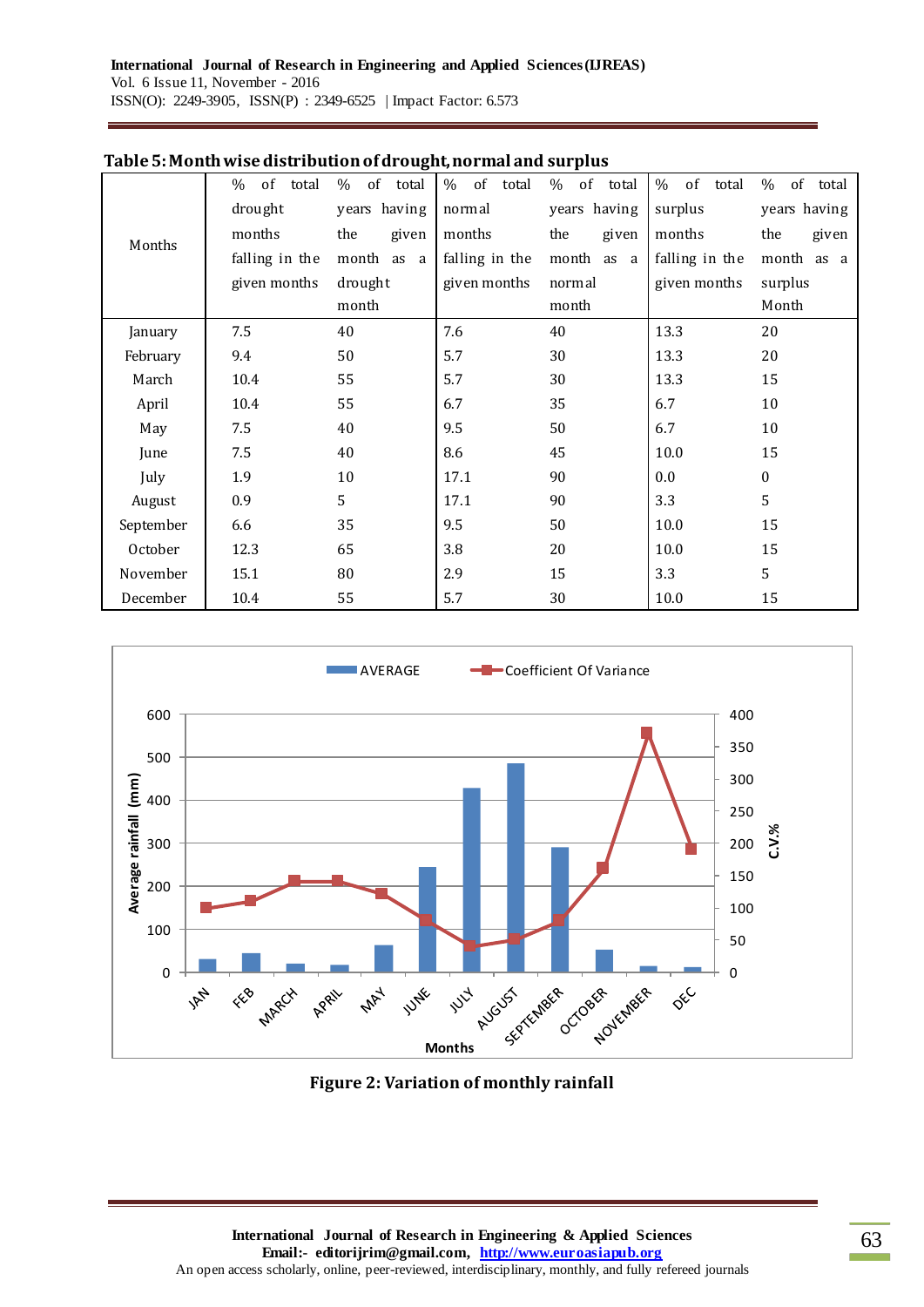|           | % of total     | $\%$<br>of total | % of total     | of total<br>% | % of<br>total  | %<br>of total    |
|-----------|----------------|------------------|----------------|---------------|----------------|------------------|
| Months    | drought        | years having     | normal         | years having  | surplus        | years having     |
|           | months         | the<br>given     | months         | the<br>given  | months         | the<br>given     |
|           | falling in the | month as a       | falling in the | month<br>as a | falling in the | month as a       |
|           | given months   | drought          | given months   | normal        | given months   | surplus          |
|           |                | month            |                | month         |                | Month            |
| January   | 7.5            | 40               | 7.6            | 40            | 13.3           | 20               |
| February  | 9.4            | 50               | 5.7            | 30            | 13.3           | 20               |
| March     | 10.4           | 55               | 5.7            | 30            | 13.3           | 15               |
| April     | 10.4           | 55               | 6.7            | 35            | 6.7            | 10               |
| May       | 7.5            | 40               | 9.5            | 50            | 6.7            | $10\,$           |
| June      | 7.5            | 40               | 8.6            | 45            | 10.0           | 15               |
| July      | 1.9            | 10               | 17.1           | 90            | 0.0            | $\boldsymbol{0}$ |
| August    | 0.9            | 5                | 17.1           | 90            | 3.3            | 5                |
| September | 6.6            | 35               | 9.5            | 50            | 10.0           | 15               |
| October   | 12.3           | 65               | 3.8            | 20            | 10.0           | 15               |
| November  | 15.1           | 80               | 2.9            | 15            | 3.3            | 5                |
| December  | 10.4           | 55               | 5.7            | 30            | 10.0           | 15               |

### **Table 5: Month wise distribution of drought, normal and surplus**



**Figure 2: Variation of monthly rainfall**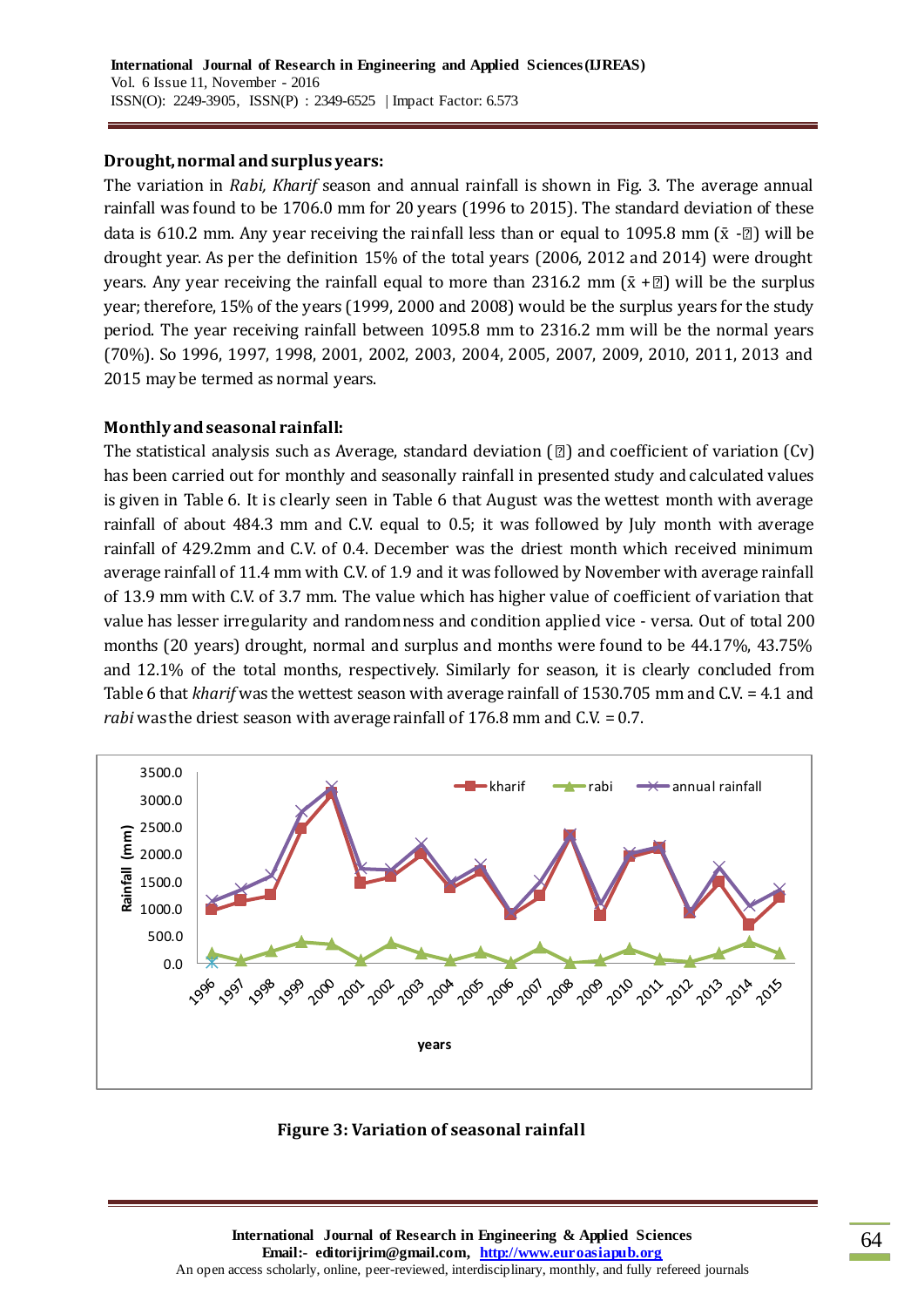## **Drought, normal and surplus years:**

The variation in *Rabi, Kharif* season and annual rainfall is shown in Fig. 3. The average annual rainfall was found to be 1706.0 mm for 20 years (1996 to 2015). The standard deviation of these data is 610.2 mm. Any year receiving the rainfall less than or equal to 1095.8 mm  $(\bar{x} - \bar{z})$  will be drought year. As per the definition 15% of the total years (2006, 2012 and 2014) were drought years. Any year receiving the rainfall equal to more than 2316.2 mm  $(\bar{x} + \bar{z})$  will be the surplus year; therefore, 15% of the years (1999, 2000 and 2008) would be the surplus years for the study period. The year receiving rainfall between 1095.8 mm to 2316.2 mm will be the normal years (70%). So 1996, 1997, 1998, 2001, 2002, 2003, 2004, 2005, 2007, 2009, 2010, 2011, 2013 and 2015 may be termed as normal years.

# **Monthly and seasonal rainfall:**

The statistical analysis such as Average, standard deviation  $\lbrack \text{2} \rbrack$  and coefficient of variation  $\lbrack \text{Cv} \rbrack$ has been carried out for monthly and seasonally rainfall in presented study and calculated values is given in Table 6. It is clearly seen in Table 6 that August was the wettest month with average rainfall of about 484.3 mm and C.V. equal to 0.5; it was followed by July month with average rainfall of 429.2mm and C.V. of 0.4. December was the driest month which received minimum average rainfall of 11.4 mm with C.V. of 1.9 and it was followed by November with average rainfall of 13.9 mm with C.V. of 3.7 mm. The value which has higher value of coefficient of variation that value has lesser irregularity and randomness and condition applied vice - versa. Out of total 200 months (20 years) drought, normal and surplus and months were found to be 44.17%, 43.75% and 12.1% of the total months, respectively. Similarly for season, it is clearly concluded from Table 6 that *kharif* was the wettest season with average rainfall of 1530.705 mm and C.V. = 4.1 and *rabi* was the driest season with average rainfall of 176.8 mm and C.V. = 0.7.



**Figure 3: Variation of seasonal rainfall**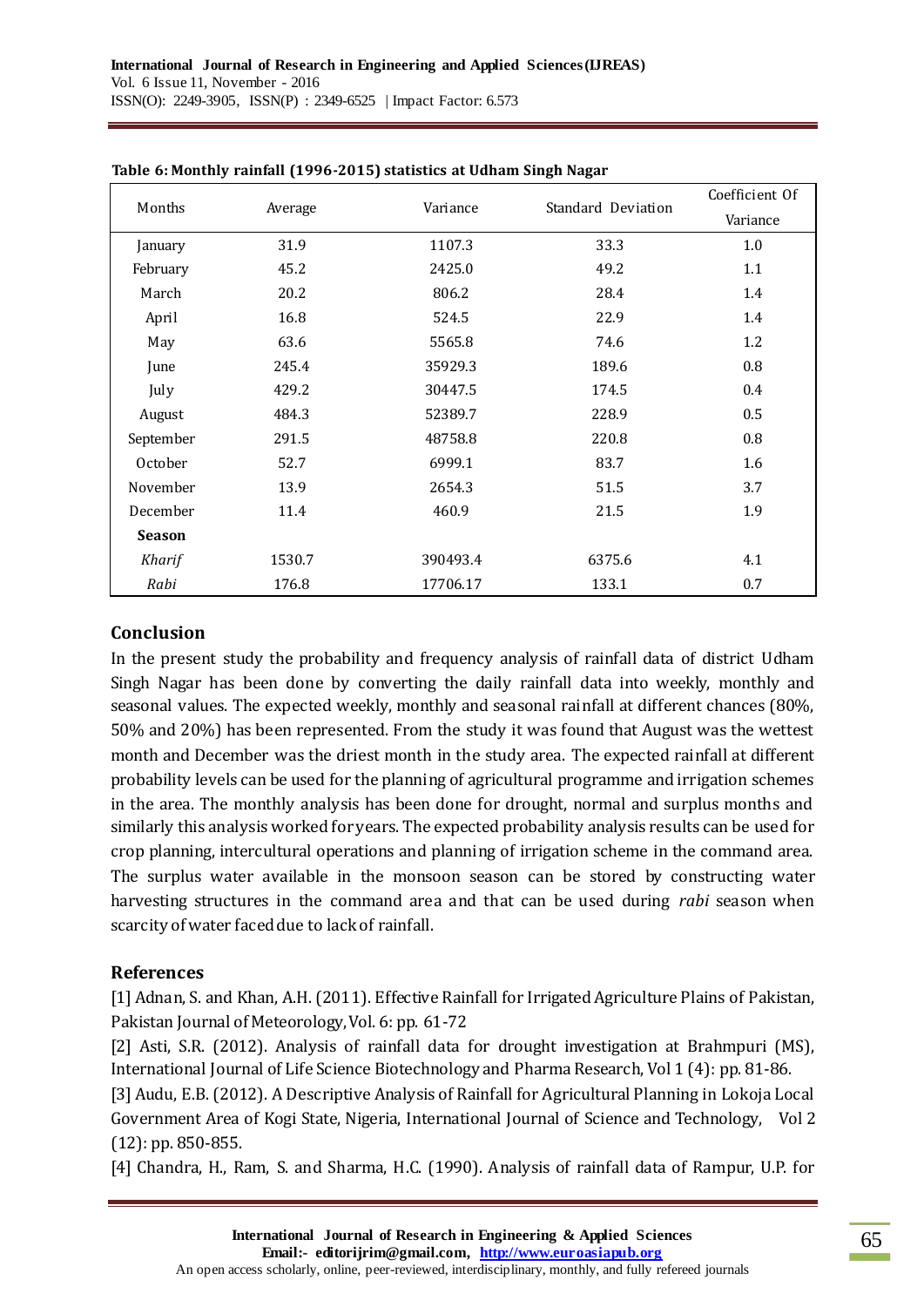|               |         |          |                    | Coefficient Of |
|---------------|---------|----------|--------------------|----------------|
| Months        | Average | Variance | Standard Deviation | Variance       |
| January       | 31.9    | 1107.3   | 33.3               | 1.0            |
| February      | 45.2    | 2425.0   | 49.2               | 1.1            |
| March         | 20.2    | 806.2    | 28.4               | 1.4            |
| April         | 16.8    | 524.5    | 22.9               | 1.4            |
| May           | 63.6    | 5565.8   | 74.6               | 1.2            |
| June          | 245.4   | 35929.3  | 189.6              | 0.8            |
| July          | 429.2   | 30447.5  | 174.5              | 0.4            |
| August        | 484.3   | 52389.7  | 228.9              | 0.5            |
| September     | 291.5   | 48758.8  | 220.8              | 0.8            |
| October       | 52.7    | 6999.1   | 83.7               | 1.6            |
| November      | 13.9    | 2654.3   | 51.5               | 3.7            |
| December      | 11.4    | 460.9    | 21.5               | 1.9            |
| <b>Season</b> |         |          |                    |                |
| Kharif        | 1530.7  | 390493.4 | 6375.6             | 4.1            |
| Rabi          | 176.8   | 17706.17 | 133.1              | 0.7            |

#### **Table 6: Monthly rainfall (1996-2015) statistics at Udham Singh Nagar**

### **Conclusion**

In the present study the probability and frequency analysis of rainfall data of district Udham Singh Nagar has been done by converting the daily rainfall data into weekly, monthly and seasonal values. The expected weekly, monthly and seasonal rainfall at different chances (80%, 50% and 20%) has been represented. From the study it was found that August was the wettest month and December was the driest month in the study area. The expected rainfall at different probability levels can be used for the planning of agricultural programme and irrigation schemes in the area. The monthly analysis has been done for drought, normal and surplus months and similarly this analysis worked for years. The expected probability analysis results can be used for crop planning, intercultural operations and planning of irrigation scheme in the command area. The surplus water available in the monsoon season can be stored by constructing water harvesting structures in the command area and that can be used during *rabi* season when scarcity of water faced due to lack of rainfall.

### **References**

[1] Adnan, S. and Khan, A.H. (2011). Effective Rainfall for Irrigated Agriculture Plains of Pakistan, Pakistan Journal of Meteorology, Vol. 6: pp. 61-72

[2] Asti, S.R. (2012). Analysis of rainfall data for drought investigation at Brahmpuri (MS), International Journal of Life Science Biotechnology and Pharma Research, Vol 1 (4): pp. 81-86.

[3] Audu, E.B. (2012). A Descriptive Analysis of Rainfall for Agricultural Planning in Lokoja Local Government Area of Kogi State, Nigeria, International Journal of Science and Technology, Vol 2 (12): pp. 850-855.

[4] Chandra, H., Ram, S. and Sharma, H.C. (1990). Analysis of rainfall data of Rampur, U.P. for